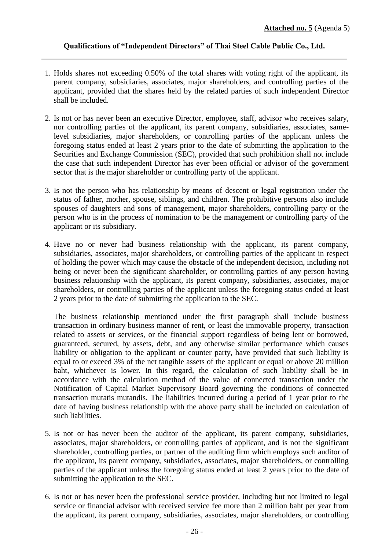## **Qualifications of "Independent Directors" of Thai Steel Cable Public Co., Ltd.**

- 1. Holds shares not exceeding 0.50% of the total shares with voting right of the applicant, its parent company, subsidiaries, associates, major shareholders, and controlling parties of the applicant, provided that the shares held by the related parties of such independent Director shall be included.
- 2. Is not or has never been an executive Director, employee, staff, advisor who receives salary, nor controlling parties of the applicant, its parent company, subsidiaries, associates, samelevel subsidiaries, major shareholders, or controlling parties of the applicant unless the foregoing status ended at least 2 years prior to the date of submitting the application to the Securities and Exchange Commission (SEC), provided that such prohibition shall not include the case that such independent Director has ever been official or advisor of the government sector that is the major shareholder or controlling party of the applicant.
- 3. Is not the person who has relationship by means of descent or legal registration under the status of father, mother, spouse, siblings, and children. The prohibitive persons also include spouses of daughters and sons of management, major shareholders, controlling party or the person who is in the process of nomination to be the management or controlling party of the applicant or its subsidiary.
- 4. Have no or never had business relationship with the applicant, its parent company, subsidiaries, associates, major shareholders, or controlling parties of the applicant in respect of holding the power which may cause the obstacle of the independent decision, including not being or never been the significant shareholder, or controlling parties of any person having business relationship with the applicant, its parent company, subsidiaries, associates, major shareholders, or controlling parties of the applicant unless the foregoing status ended at least 2 years prior to the date of submitting the application to the SEC.

The business relationship mentioned under the first paragraph shall include business transaction in ordinary business manner of rent, or least the immovable property, transaction related to assets or services, or the financial support regardless of being lent or borrowed, guaranteed, secured, by assets, debt, and any otherwise similar performance which causes liability or obligation to the applicant or counter party, have provided that such liability is equal to or exceed 3% of the net tangible assets of the applicant or equal or above 20 million baht, whichever is lower. In this regard, the calculation of such liability shall be in accordance with the calculation method of the value of connected transaction under the Notification of Capital Market Supervisory Board governing the conditions of connected transaction mutatis mutandis. The liabilities incurred during a period of 1 year prior to the date of having business relationship with the above party shall be included on calculation of such liabilities.

- 5. Is not or has never been the auditor of the applicant, its parent company, subsidiaries, associates, major shareholders, or controlling parties of applicant, and is not the significant shareholder, controlling parties, or partner of the auditing firm which employs such auditor of the applicant, its parent company, subsidiaries, associates, major shareholders, or controlling parties of the applicant unless the foregoing status ended at least 2 years prior to the date of submitting the application to the SEC.
- 6. Is not or has never been the professional service provider, including but not limited to legal service or financial advisor with received service fee more than 2 million baht per year from the applicant, its parent company, subsidiaries, associates, major shareholders, or controlling